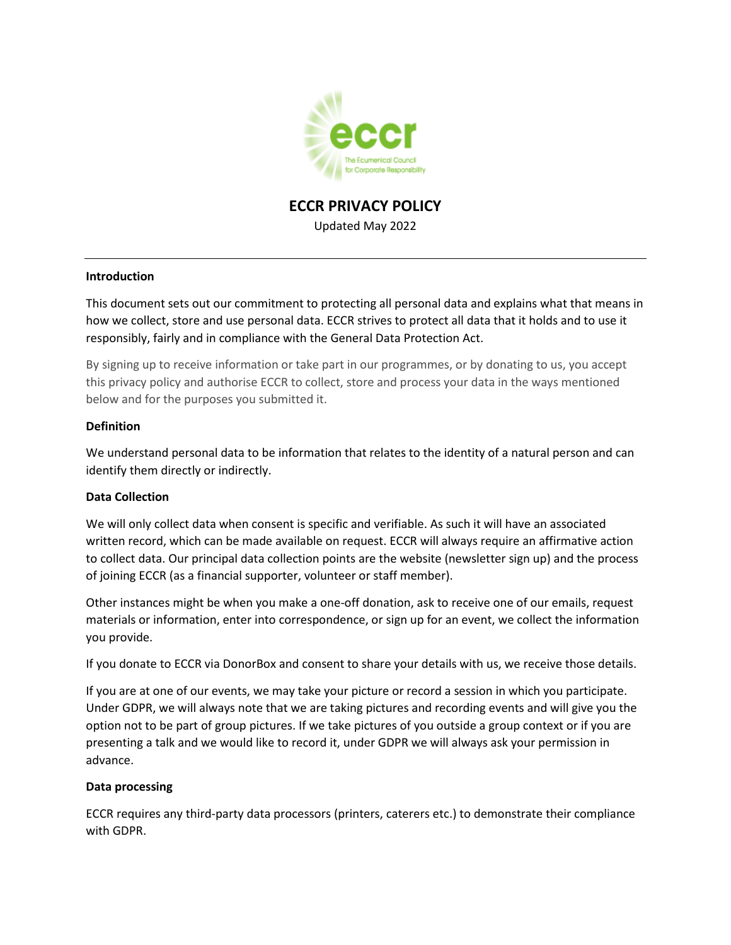

# **ECCR PRIVACY POLICY** Updated May 2022

## **Introduction**

This document sets out our commitment to protecting all personal data and explains what that means in how we collect, store and use personal data. ECCR strives to protect all data that it holds and to use it responsibly, fairly and in compliance with the General Data Protection Act.

By signing up to receive information or take part in our programmes, or by donating to us, you accept this privacy policy and authorise ECCR to collect, store and process your data in the ways mentioned below and for the purposes you submitted it.

#### **Definition**

We understand personal data to be information that relates to the identity of a natural person and can identify them directly or indirectly.

## **Data Collection**

We will only collect data when consent is specific and verifiable. As such it will have an associated written record, which can be made available on request. ECCR will always require an affirmative action to collect data. Our principal data collection points are the website (newsletter sign up) and the process of joining ECCR (as a financial supporter, volunteer or staff member).

Other instances might be when you make a one-off donation, ask to receive one of our emails, request materials or information, enter into correspondence, or sign up for an event, we collect the information you provide.

If you donate to ECCR via DonorBox and consent to share your details with us, we receive those details.

If you are at one of our events, we may take your picture or record a session in which you participate. Under GDPR, we will always note that we are taking pictures and recording events and will give you the option not to be part of group pictures. If we take pictures of you outside a group context or if you are presenting a talk and we would like to record it, under GDPR we will always ask your permission in advance.

#### **Data processing**

ECCR requires any third-party data processors (printers, caterers etc.) to demonstrate their compliance with GDPR.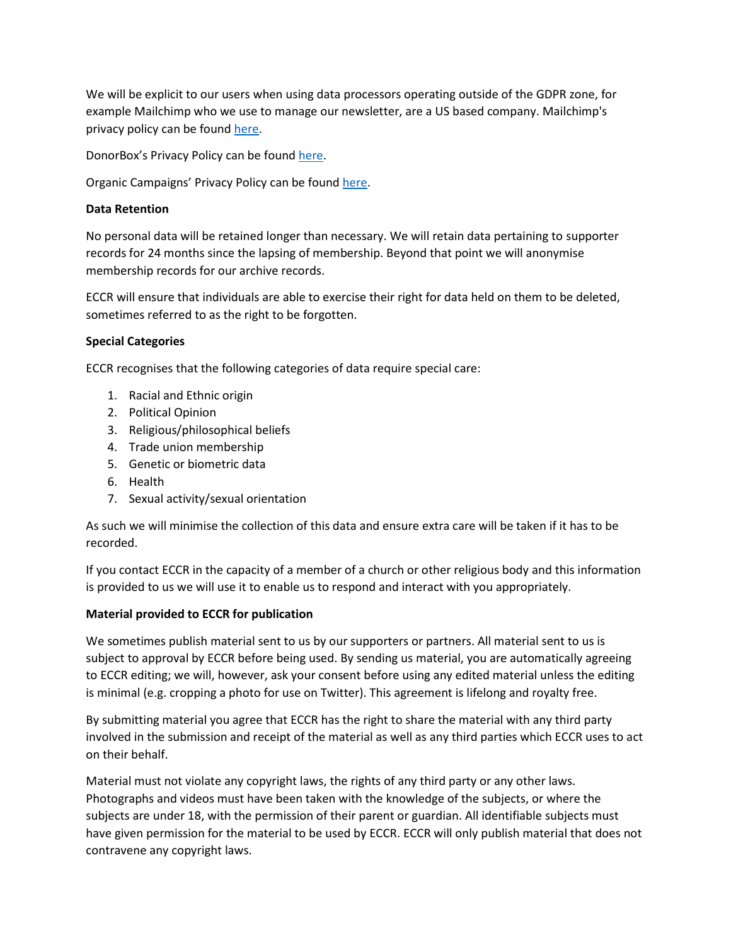We will be explicit to our users when using data processors operating outside of the GDPR zone, for example Mailchimp who we use to manage our newsletter, are a US based company. Mailchimp's privacy policy can be found [here.](https://mailchimp.com/legal/privacy/)

DonorBox's Privacy Policy can be found [here.](https://donorbox.org/privacy)

Organic Campaigns' Privacy Policy can be found [here.](https://www.organiccampaigns.com/about/privacy-policy/)

## **Data Retention**

No personal data will be retained longer than necessary. We will retain data pertaining to supporter records for 24 months since the lapsing of membership. Beyond that point we will anonymise membership records for our archive records.

ECCR will ensure that individuals are able to exercise their right for data held on them to be deleted, sometimes referred to as the right to be forgotten.

## **Special Categories**

ECCR recognises that the following categories of data require special care:

- 1. Racial and Ethnic origin
- 2. Political Opinion
- 3. Religious/philosophical beliefs
- 4. Trade union membership
- 5. Genetic or biometric data
- 6. Health
- 7. Sexual activity/sexual orientation

As such we will minimise the collection of this data and ensure extra care will be taken if it has to be recorded.

If you contact ECCR in the capacity of a member of a church or other religious body and this information is provided to us we will use it to enable us to respond and interact with you appropriately.

## **Material provided to ECCR for publication**

We sometimes publish material sent to us by our supporters or partners. All material sent to us is subject to approval by ECCR before being used. By sending us material, you are automatically agreeing to ECCR editing; we will, however, ask your consent before using any edited material unless the editing is minimal (e.g. cropping a photo for use on Twitter). This agreement is lifelong and royalty free.

By submitting material you agree that ECCR has the right to share the material with any third party involved in the submission and receipt of the material as well as any third parties which ECCR uses to act on their behalf.

Material must not violate any copyright laws, the rights of any third party or any other laws. Photographs and videos must have been taken with the knowledge of the subjects, or where the subjects are under 18, with the permission of their parent or guardian. All identifiable subjects must have given permission for the material to be used by ECCR. ECCR will only publish material that does not contravene any copyright laws.